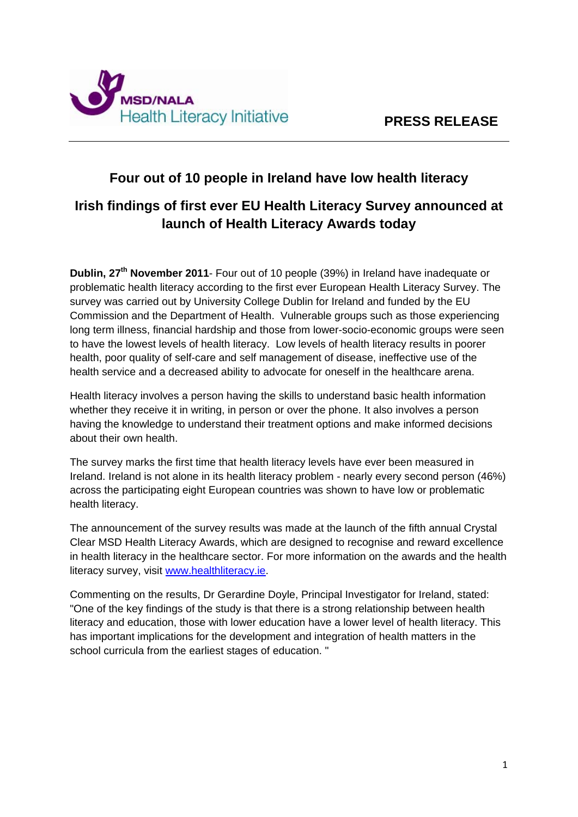

# **Four out of 10 people in Ireland have low health literacy**

# **Irish findings of first ever EU Health Literacy Survey announced at launch of Health Literacy Awards today**

**Dublin, 27<sup>th</sup> November 2011**- Four out of 10 people (39%) in Ireland have inadequate or problematic health literacy according to the first ever European Health Literacy Survey. The survey was carried out by University College Dublin for Ireland and funded by the EU Commission and the Department of Health. Vulnerable groups such as those experiencing long term illness, financial hardship and those from lower-socio-economic groups were seen to have the lowest levels of health literacy. Low levels of health literacy results in poorer health, poor quality of self-care and self management of disease, ineffective use of the health service and a decreased ability to advocate for oneself in the healthcare arena.

Health literacy involves a person having the skills to understand basic health information whether they receive it in writing, in person or over the phone. It also involves a person having the knowledge to understand their treatment options and make informed decisions about their own health.

The survey marks the first time that health literacy levels have ever been measured in Ireland. Ireland is not alone in its health literacy problem - nearly every second person (46%) across the participating eight European countries was shown to have low or problematic health literacy.

The announcement of the survey results was made at the launch of the fifth annual Crystal Clear MSD Health Literacy Awards, which are designed to recognise and reward excellence in health literacy in the healthcare sector. For more information on the awards and the health literacy survey, visit [www.healthliteracy.ie.](http://www.healthliteracy.ie/)

Commenting on the results, Dr Gerardine Doyle, Principal Investigator for Ireland, stated: "One of the key findings of the study is that there is a strong relationship between health literacy and education, those with lower education have a lower level of health literacy. This has important implications for the development and integration of health matters in the school curricula from the earliest stages of education. "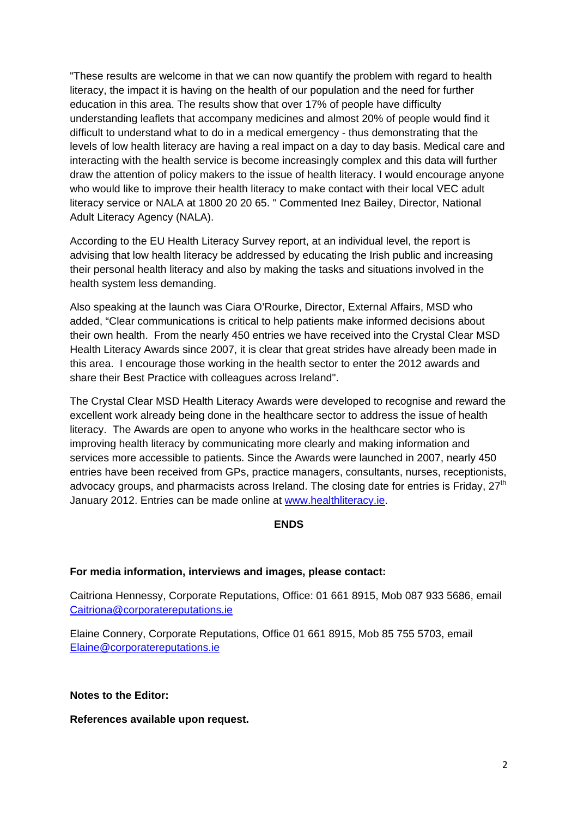"These results are welcome in that we can now quantify the problem with regard to health literacy, the impact it is having on the health of our population and the need for further education in this area. The results show that over 17% of people have difficulty understanding leaflets that accompany medicines and almost 20% of people would find it difficult to understand what to do in a medical emergency - thus demonstrating that the levels of low health literacy are having a real impact on a day to day basis. Medical care and interacting with the health service is become increasingly complex and this data will further draw the attention of policy makers to the issue of health literacy. I would encourage anyone who would like to improve their health literacy to make contact with their local VEC adult literacy service or NALA at 1800 20 20 65. " Commented Inez Bailey, Director, National Adult Literacy Agency (NALA).

According to the EU Health Literacy Survey report, at an individual level, the report is advising that low health literacy be addressed by educating the Irish public and increasing their personal health literacy and also by making the tasks and situations involved in the health system less demanding.

Also speaking at the launch was Ciara O'Rourke, Director, External Affairs, MSD who added, "Clear communications is critical to help patients make informed decisions about their own health. From the nearly 450 entries we have received into the Crystal Clear MSD Health Literacy Awards since 2007, it is clear that great strides have already been made in this area. I encourage those working in the health sector to enter the 2012 awards and share their Best Practice with colleagues across Ireland".

The Crystal Clear MSD Health Literacy Awards were developed to recognise and reward the excellent work already being done in the healthcare sector to address the issue of health literacy. The Awards are open to anyone who works in the healthcare sector who is improving health literacy by communicating more clearly and making information and services more accessible to patients. Since the Awards were launched in 2007, nearly 450 entries have been received from GPs, practice managers, consultants, nurses, receptionists, advocacy groups, and pharmacists across Ireland. The closing date for entries is Friday,  $27<sup>th</sup>$ January 2012. Entries can be made online at [www.healthliteracy.ie.](http://www.healthliteracy.ie/)

#### **ENDS**

#### **For media information, interviews and images, please contact:**

Caitriona Hennessy, Corporate Reputations, Office: 01 661 8915, Mob 087 933 5686, email [Caitriona@corporatereputations.ie](mailto:Caitriona@corporatereputations.ie)

Elaine Connery, Corporate Reputations, Office 01 661 8915, Mob 85 755 5703, email [Elaine@corporatereputations.ie](mailto:Elaine@corporatereputations.ie)

**Notes to the Editor:** 

**References available upon request.**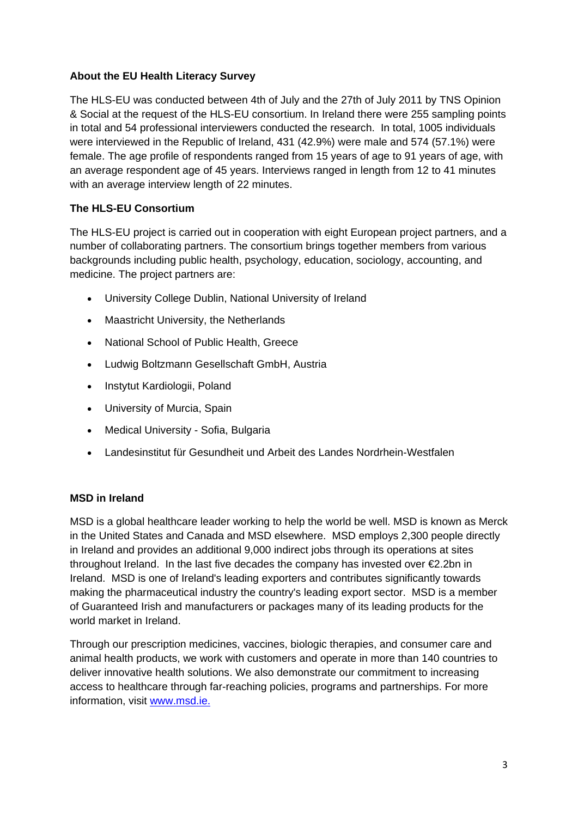### **About the EU Health Literacy Survey**

The HLS-EU was conducted between 4th of July and the 27th of July 2011 by TNS Opinion & Social at the request of the HLS-EU consortium. In Ireland there were 255 sampling points in total and 54 professional interviewers conducted the research. In total, 1005 individuals were interviewed in the Republic of Ireland, 431 (42.9%) were male and 574 (57.1%) were female. The age profile of respondents ranged from 15 years of age to 91 years of age, with an average respondent age of 45 years. Interviews ranged in length from 12 to 41 minutes with an average interview length of 22 minutes.

## **The HLS-EU Consortium**

The HLS-EU project is carried out in cooperation with eight European project partners, and a number of collaborating partners. The consortium brings together members from various backgrounds including public health, psychology, education, sociology, accounting, and medicine. The project partners are:

- University College Dublin, National University of Ireland
- Maastricht University, the Netherlands
- National School of Public Health, Greece
- Ludwig Boltzmann Gesellschaft GmbH, Austria
- Instytut Kardiologii, Poland
- University of Murcia, Spain
- Medical University Sofia, Bulgaria
- Landesinstitut für Gesundheit und Arbeit des Landes Nordrhein-Westfalen

### **MSD in Ireland**

MSD is a global healthcare leader working to help the world be well. MSD is known as Merck in the United States and Canada and MSD elsewhere. MSD employs 2,300 people directly in Ireland and provides an additional 9,000 indirect jobs through its operations at sites throughout Ireland. In the last five decades the company has invested over  $\epsilon$ 2.2bn in Ireland. MSD is one of Ireland's leading exporters and contributes significantly towards making the pharmaceutical industry the country's leading export sector. MSD is a member of Guaranteed Irish and manufacturers or packages many of its leading products for the world market in Ireland.

Through our prescription medicines, vaccines, biologic therapies, and consumer care and animal health products, we work with customers and operate in more than 140 countries to deliver innovative health solutions. We also demonstrate our commitment to increasing access to healthcare through far-reaching policies, programs and partnerships. For more information, visit [www.msd.ie.](http://www.msd.ie./)